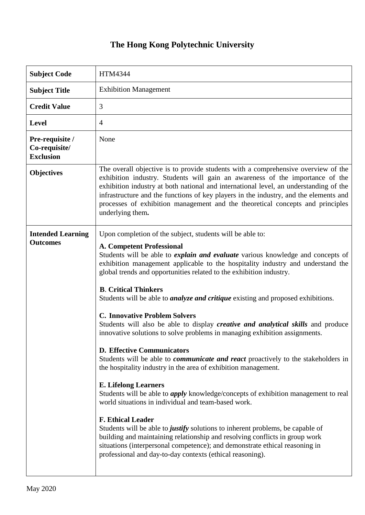## **The Hong Kong Polytechnic University**

| <b>Subject Code</b>                                  | <b>HTM4344</b>                                                                                                                                                                                                                                                                                                                                                                                                                                                                                                                                                                                                                                                                                                                                                                                                                                                                                                                                                                                                                                                                                                                                                                                                                                                                                                                                                                                                                     |
|------------------------------------------------------|------------------------------------------------------------------------------------------------------------------------------------------------------------------------------------------------------------------------------------------------------------------------------------------------------------------------------------------------------------------------------------------------------------------------------------------------------------------------------------------------------------------------------------------------------------------------------------------------------------------------------------------------------------------------------------------------------------------------------------------------------------------------------------------------------------------------------------------------------------------------------------------------------------------------------------------------------------------------------------------------------------------------------------------------------------------------------------------------------------------------------------------------------------------------------------------------------------------------------------------------------------------------------------------------------------------------------------------------------------------------------------------------------------------------------------|
| <b>Subject Title</b>                                 | <b>Exhibition Management</b>                                                                                                                                                                                                                                                                                                                                                                                                                                                                                                                                                                                                                                                                                                                                                                                                                                                                                                                                                                                                                                                                                                                                                                                                                                                                                                                                                                                                       |
| <b>Credit Value</b>                                  | 3                                                                                                                                                                                                                                                                                                                                                                                                                                                                                                                                                                                                                                                                                                                                                                                                                                                                                                                                                                                                                                                                                                                                                                                                                                                                                                                                                                                                                                  |
| <b>Level</b>                                         | 4                                                                                                                                                                                                                                                                                                                                                                                                                                                                                                                                                                                                                                                                                                                                                                                                                                                                                                                                                                                                                                                                                                                                                                                                                                                                                                                                                                                                                                  |
| Pre-requisite /<br>Co-requisite/<br><b>Exclusion</b> | None                                                                                                                                                                                                                                                                                                                                                                                                                                                                                                                                                                                                                                                                                                                                                                                                                                                                                                                                                                                                                                                                                                                                                                                                                                                                                                                                                                                                                               |
| <b>Objectives</b>                                    | The overall objective is to provide students with a comprehensive overview of the<br>exhibition industry. Students will gain an awareness of the importance of the<br>exhibition industry at both national and international level, an understanding of the<br>infrastructure and the functions of key players in the industry, and the elements and<br>processes of exhibition management and the theoretical concepts and principles<br>underlying them.                                                                                                                                                                                                                                                                                                                                                                                                                                                                                                                                                                                                                                                                                                                                                                                                                                                                                                                                                                         |
| <b>Intended Learning</b><br><b>Outcomes</b>          | Upon completion of the subject, students will be able to:<br><b>A. Competent Professional</b><br>Students will be able to <i>explain and evaluate</i> various knowledge and concepts of<br>exhibition management applicable to the hospitality industry and understand the<br>global trends and opportunities related to the exhibition industry.<br><b>B. Critical Thinkers</b><br>Students will be able to <i>analyze and critique</i> existing and proposed exhibitions.<br><b>C. Innovative Problem Solvers</b><br>Students will also be able to display <i>creative and analytical skills</i> and produce<br>innovative solutions to solve problems in managing exhibition assignments.<br><b>D. Effective Communicators</b><br>Students will be able to <i>communicate and react</i> proactively to the stakeholders in<br>the hospitality industry in the area of exhibition management.<br><b>E. Lifelong Learners</b><br>Students will be able to <i>apply</i> knowledge/concepts of exhibition management to real<br>world situations in individual and team-based work.<br><b>F. Ethical Leader</b><br>Students will be able to <i>justify</i> solutions to inherent problems, be capable of<br>building and maintaining relationship and resolving conflicts in group work<br>situations (interpersonal competence); and demonstrate ethical reasoning in<br>professional and day-to-day contexts (ethical reasoning). |